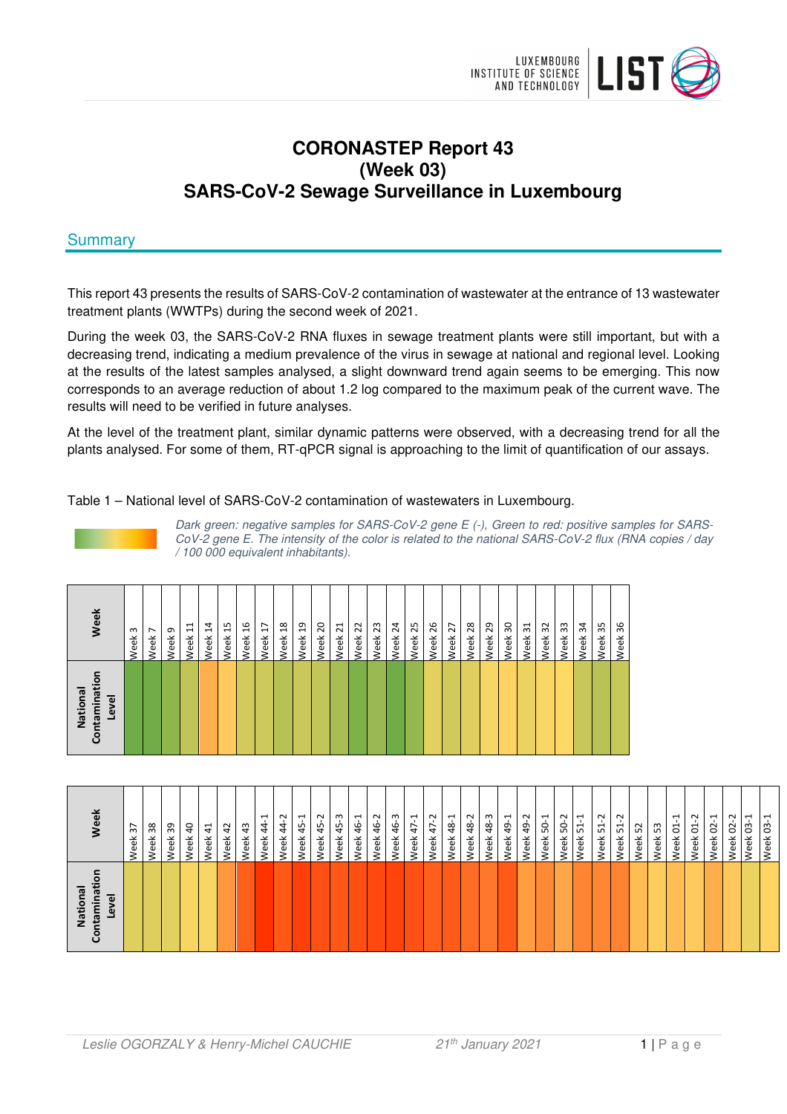

# **CORONASTEP Report 43 (Week 03) SARS-CoV-2 Sewage Surveillance in Luxembourg**

# **Summary**

This report 43 presents the results of SARS-CoV-2 contamination of wastewater at the entrance of 13 wastewater treatment plants (WWTPs) during the second week of 2021.

During the week 03, the SARS-CoV-2 RNA fluxes in sewage treatment plants were still important, but with a decreasing trend, indicating a medium prevalence of the virus in sewage at national and regional level. Looking at the results of the latest samples analysed, a slight downward trend again seems to be emerging. This now corresponds to an average reduction of about 1.2 log compared to the maximum peak of the current wave. The results will need to be verified in future analyses.

At the level of the treatment plant, similar dynamic patterns were observed, with a decreasing trend for all the plants analysed. For some of them, RT-qPCR signal is approaching to the limit of quantification of our assays.

Table 1 – National level of SARS-CoV-2 contamination of wastewaters in Luxembourg.



Dark green: negative samples for SARS-CoV-2 gene E (-), Green to red: positive samples for SARS-CoV-2 gene E. The intensity of the color is related to the national SARS-CoV-2 flux (RNA copies / day / 100 000 equivalent inhabitants).

| ō<br>Contaminati<br>National<br>Level | Week                    |
|---------------------------------------|-------------------------|
|                                       | m<br>Week               |
|                                       | $\overline{ }$<br>Week  |
|                                       | თ<br>Week               |
|                                       | $\Xi$<br>Week           |
|                                       | $\ddot{a}$<br>Week      |
|                                       | Week 15                 |
|                                       | 16<br>Week              |
|                                       | Week 17                 |
|                                       | $\frac{8}{18}$<br>Week  |
|                                       | Week <sub>19</sub>      |
|                                       | 20<br>Week              |
|                                       | $\overline{21}$<br>Week |
|                                       | 22<br>Week              |
|                                       | 23<br>Week              |
|                                       | 24<br>Week              |
|                                       | 25<br>Week              |
|                                       | 26<br>Week              |
|                                       | 27<br>Week              |
|                                       | 28<br>Week              |
|                                       | 29<br>Week              |
|                                       | 30<br>Week              |
|                                       | $\overline{31}$<br>Week |
|                                       | 32<br>Week              |
|                                       | 33<br>Week              |
|                                       | 34<br>Week              |
|                                       | 35<br>Week              |
|                                       | 36<br>Week              |

| īen<br>mina<br>g<br>Nation<br>ڡ<br>ue. | ₫e                                   |
|----------------------------------------|--------------------------------------|
|                                        | 57<br>Veek                           |
|                                        | ೫<br>Week                            |
|                                        | ఞ<br>Veek                            |
|                                        | ੩<br>Veek                            |
|                                        | $\ddot{a}$<br>veek                   |
|                                        | $\overline{a}$<br>veek               |
|                                        | $\ddot{a}$<br>veek                   |
|                                        | $\overline{ }$<br>$\ddot{4}$<br>Veek |
|                                        | $\sim$<br>$\frac{4}{3}$<br>veek      |
|                                        | ⊣<br>$\sqrt{4}$<br>Veek              |
|                                        | $\gamma$<br>$\frac{4}{5}$<br>veek    |
|                                        | ကု<br>45<br>veek                     |
|                                        | 부<br>ச்<br>/eek                      |
|                                        | 46-2<br>veek                         |
|                                        | 46-3<br>Veek                         |
|                                        | $47 - 1$<br>Week                     |
|                                        | $47 - 2$<br>Week                     |
|                                        | $48 - 1$<br>Week                     |
|                                        | 48-2<br>Veek                         |
|                                        | 48-3<br>Veek                         |
|                                        | $49 - 1$<br>Veek                     |
|                                        | 49-2<br>veek                         |
|                                        | $50-1$<br>Veek!                      |
|                                        | $50 - 2$<br>Veek                     |
|                                        | $\overline{ }$<br>5<br>Week          |
|                                        | Week 51-2                            |
|                                        | <b>Neek 51-2</b>                     |
|                                        | Neek 52                              |
|                                        | <b>Neek 53</b>                       |
|                                        | ٢<br>Week 01-                        |
|                                        | Week 01-2                            |
|                                        | $\overline{\phantom{0}}$<br>Week 02- |
|                                        | Ņ<br>Week 02-                        |
|                                        | 근<br>l Ġ<br>Week                     |
|                                        | Week 03-1                            |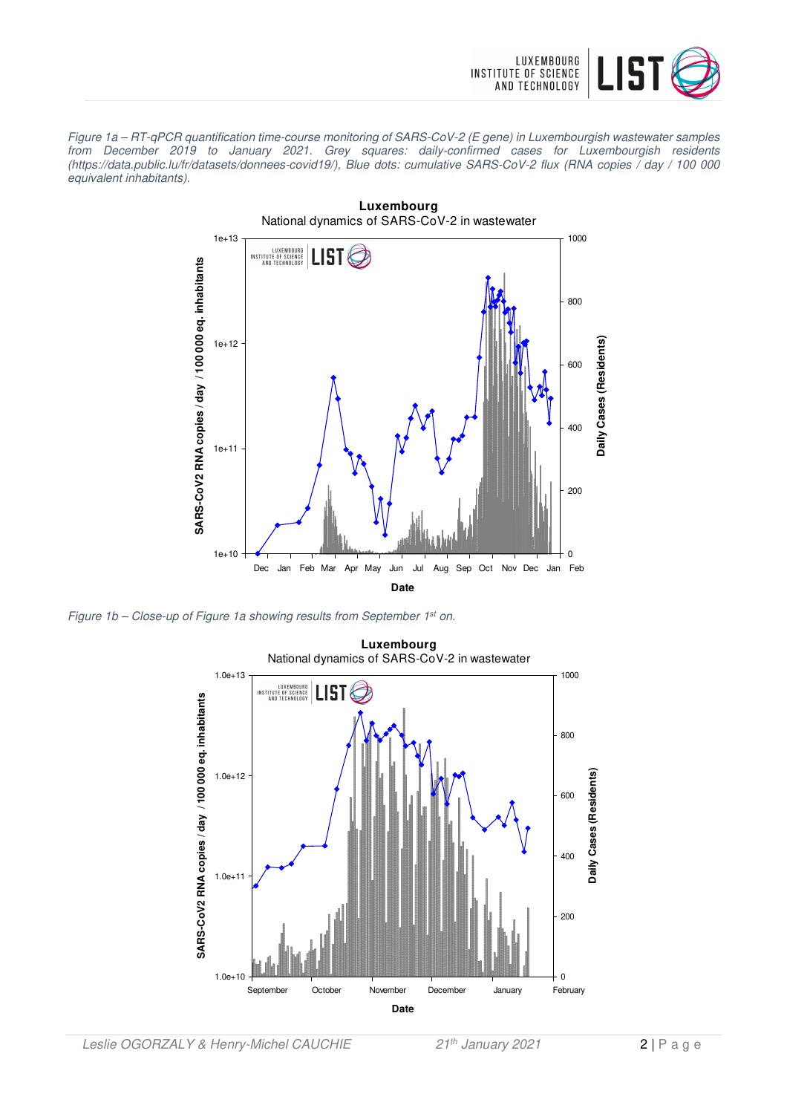

Figure 1a – RT-qPCR quantification time-course monitoring of SARS-CoV-2 (E gene) in Luxembourgish wastewater samples from December 2019 to January 2021. Grey squares: daily-confirmed cases for Luxembourgish residents (https://data.public.lu/fr/datasets/donnees-covid19/), Blue dots: cumulative SARS-CoV-2 flux (RNA copies / day / 100 000 equivalent inhabitants).



Figure 1b – Close-up of Figure 1a showing results from September 1<sup>st</sup> on.

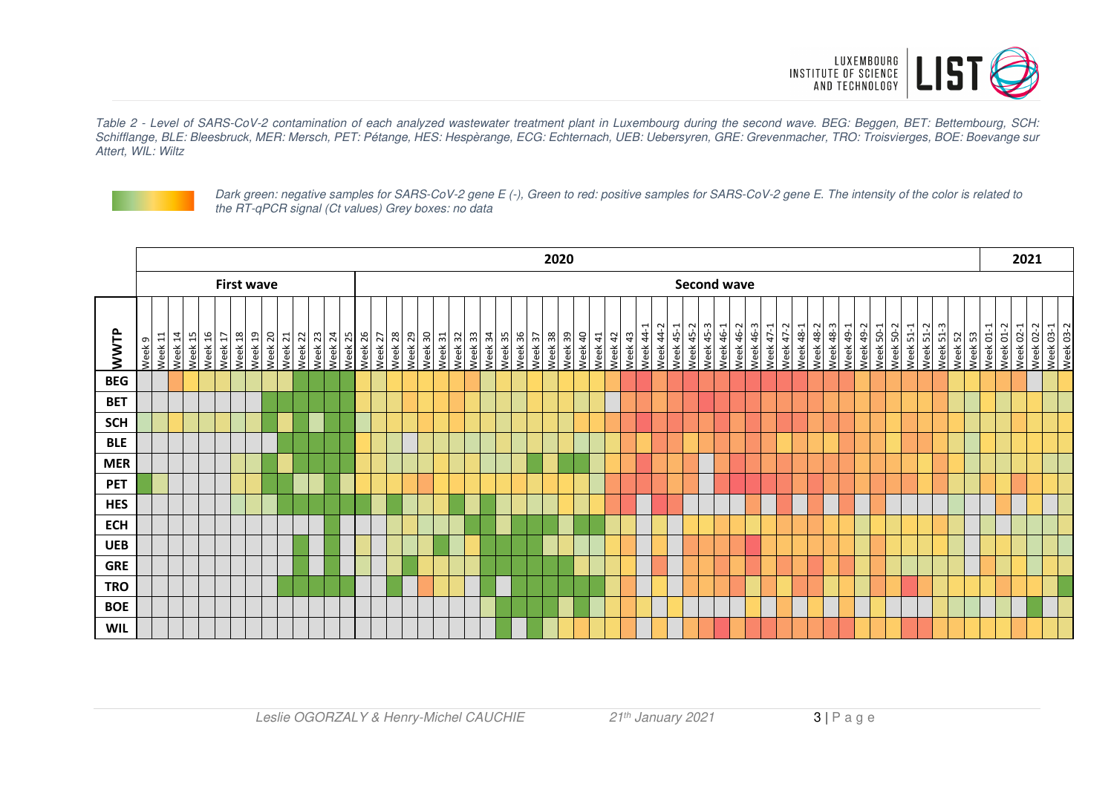

Table 2 - Level of SARS-CoV-2 contamination of each analyzed wastewater treatment plant in Luxembourg during the second wave. BEG: Beggen, BET: Bettembourg, SCH: Schifflange, BLE: Bleesbruck, MER: Mersch, PET: Pétange, HES: Hespèrange, ECG: Echternach, UEB: Uebersyren, GRE: Grevenmacher, TRO: Troisvierges, BOE: Boevange sur Attert, WIL: Wiltz



Dark green: negative samples for SARS-CoV-2 gene E (-), Green to red: positive samples for SARS-CoV-2 gene E. The intensity of the color is related to the RT-qPCR signal (Ct values) Grey boxes: no data

|             |        |                                         |         |            |         |                                   |         |                        |         |         |         |         |                    | 2020 |         |         |                    |         |         |         |         |                    |  |         |                         |         |         |         | 2021    |         |         |           |           |                       |                             |           |           |           |           |           |                        |           |           |                                      |           |                                      |           |               |                    |               |           |           |  |                                     |  |
|-------------|--------|-----------------------------------------|---------|------------|---------|-----------------------------------|---------|------------------------|---------|---------|---------|---------|--------------------|------|---------|---------|--------------------|---------|---------|---------|---------|--------------------|--|---------|-------------------------|---------|---------|---------|---------|---------|---------|-----------|-----------|-----------------------|-----------------------------|-----------|-----------|-----------|-----------|-----------|------------------------|-----------|-----------|--------------------------------------|-----------|--------------------------------------|-----------|---------------|--------------------|---------------|-----------|-----------|--|-------------------------------------|--|
|             |        | <b>Second wave</b><br><b>First wave</b> |         |            |         |                                   |         |                        |         |         |         |         |                    |      |         |         |                    |         |         |         |         |                    |  |         |                         |         |         |         |         |         |         |           |           |                       |                             |           |           |           |           |           |                        |           |           |                                      |           |                                      |           |               |                    |               |           |           |  |                                     |  |
| <b>NWTP</b> | Week 9 | $\Xi$<br>Week                           | Week 14 | 15<br>Week | Week 16 | Week 18<br>$\overline{1}$<br>Week | Week 19 | 0 <sup>2</sup><br>Week | Week 21 | Week 22 | Week 23 | Week 24 | Week 25<br>Week 26 |      | Week 27 | Week 28 | Week 29<br>Week 30 | Week 31 | Week 32 | Week 33 | Week 34 | Week 35<br>Week 36 |  | Week 37 | 38<br>Week <sup>3</sup> | Week 39 | Week 40 | Week 41 | Week 42 | Week 43 | Week 44 | Week 44-2 | Week 45-1 | Week 45-2<br>Week 45- | Week 46-1<br>m <sub>1</sub> | Week 46-2 | Week 46-3 | Week 47-1 | Week 47-2 | Week 48-1 | Week 48-2<br>Week 48-3 | Week 49-1 | Week 49-2 | $\overline{\phantom{0}}$<br>Week 50- | Week 50-2 | $\overline{\phantom{0}}$<br>Week 51- | Week 51-2 | m<br>Week 51- | Week 53<br>Week 52 | Н<br>Week 01- | Week 01-2 | Week 02-1 |  | Week 02-2<br>Week 03-1<br>Week 03-2 |  |
| <b>BEG</b>  |        |                                         |         |            |         |                                   |         |                        |         |         |         |         |                    |      |         |         |                    |         |         |         |         |                    |  |         |                         |         |         |         |         |         |         |           |           |                       |                             |           |           |           |           |           |                        |           |           |                                      |           |                                      |           |               |                    |               |           |           |  |                                     |  |
| <b>BET</b>  |        |                                         |         |            |         |                                   |         |                        |         |         |         |         |                    |      |         |         |                    |         |         |         |         |                    |  |         |                         |         |         |         |         |         |         |           |           |                       |                             |           |           |           |           |           |                        |           |           |                                      |           |                                      |           |               |                    |               |           |           |  |                                     |  |
| <b>SCH</b>  |        |                                         |         |            |         |                                   |         |                        |         |         |         |         |                    |      |         |         |                    |         |         |         |         |                    |  |         |                         |         |         |         |         |         |         |           |           |                       |                             |           |           |           |           |           |                        |           |           |                                      |           |                                      |           |               |                    |               |           |           |  |                                     |  |
| <b>BLE</b>  |        |                                         |         |            |         |                                   |         |                        |         |         |         |         |                    |      |         |         |                    |         |         |         |         |                    |  |         |                         |         |         |         |         |         |         |           |           |                       |                             |           |           |           |           |           |                        |           |           |                                      |           |                                      |           |               |                    |               |           |           |  |                                     |  |
| <b>MER</b>  |        |                                         |         |            |         |                                   |         |                        |         |         |         |         |                    |      |         |         |                    |         |         |         |         |                    |  |         |                         |         |         |         |         |         |         |           |           |                       |                             |           |           |           |           |           |                        |           |           |                                      |           |                                      |           |               |                    |               |           |           |  |                                     |  |
| <b>PET</b>  |        |                                         |         |            |         |                                   |         |                        |         |         |         |         |                    |      |         |         |                    |         |         |         |         |                    |  |         |                         |         |         |         |         |         |         |           |           |                       |                             |           |           |           |           |           |                        |           |           |                                      |           |                                      |           |               |                    |               |           |           |  |                                     |  |
| <b>HES</b>  |        |                                         |         |            |         |                                   |         |                        |         |         |         |         |                    |      |         |         |                    |         |         |         |         |                    |  |         |                         |         |         |         |         |         |         |           |           |                       |                             |           |           |           |           |           |                        |           |           |                                      |           |                                      |           |               |                    |               |           |           |  |                                     |  |
| <b>ECH</b>  |        |                                         |         |            |         |                                   |         |                        |         |         |         |         |                    |      |         |         |                    |         |         |         |         |                    |  |         |                         |         |         |         |         |         |         |           |           |                       |                             |           |           |           |           |           |                        |           |           |                                      |           |                                      |           |               |                    |               |           |           |  |                                     |  |
| <b>UEB</b>  |        |                                         |         |            |         |                                   |         |                        |         |         |         |         |                    |      |         |         |                    |         |         |         |         |                    |  |         |                         |         |         |         |         |         |         |           |           |                       |                             |           |           |           |           |           |                        |           |           |                                      |           |                                      |           |               |                    |               |           |           |  |                                     |  |
| <b>GRE</b>  |        |                                         |         |            |         |                                   |         |                        |         |         |         |         |                    |      |         |         |                    |         |         |         |         |                    |  |         |                         |         |         |         |         |         |         |           |           |                       |                             |           |           |           |           |           |                        |           |           |                                      |           |                                      |           |               |                    |               |           |           |  |                                     |  |
| <b>TRO</b>  |        |                                         |         |            |         |                                   |         |                        |         |         |         |         |                    |      |         |         |                    |         |         |         |         |                    |  |         |                         |         |         |         |         |         |         |           |           |                       |                             |           |           |           |           |           |                        |           |           |                                      |           |                                      |           |               |                    |               |           |           |  |                                     |  |
| <b>BOE</b>  |        |                                         |         |            |         |                                   |         |                        |         |         |         |         |                    |      |         |         |                    |         |         |         |         |                    |  |         |                         |         |         |         |         |         |         |           |           |                       |                             |           |           |           |           |           |                        |           |           |                                      |           |                                      |           |               |                    |               |           |           |  |                                     |  |
| <b>WIL</b>  |        |                                         |         |            |         |                                   |         |                        |         |         |         |         |                    |      |         |         |                    |         |         |         |         |                    |  |         |                         |         |         |         |         |         |         |           |           |                       |                             |           |           |           |           |           |                        |           |           |                                      |           |                                      |           |               |                    |               |           |           |  |                                     |  |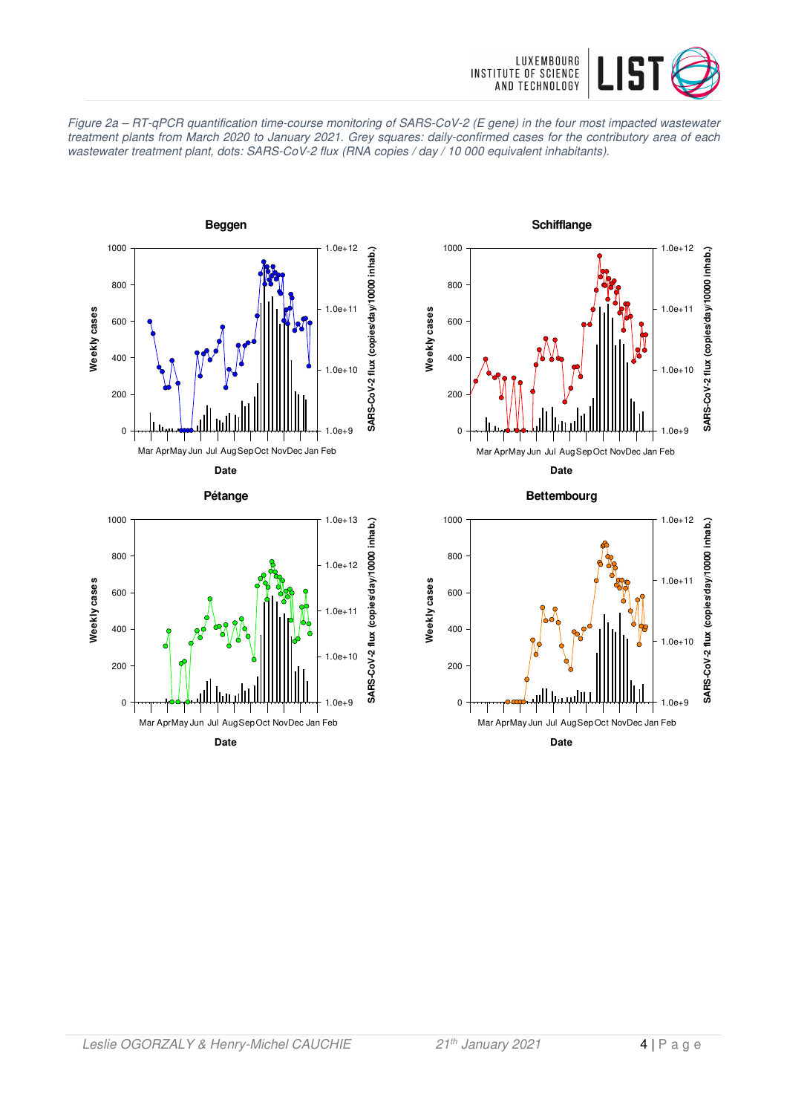





**Date** Mar Apr May Jun Jul Aug Sep Oct Nov Dec Jan Feb



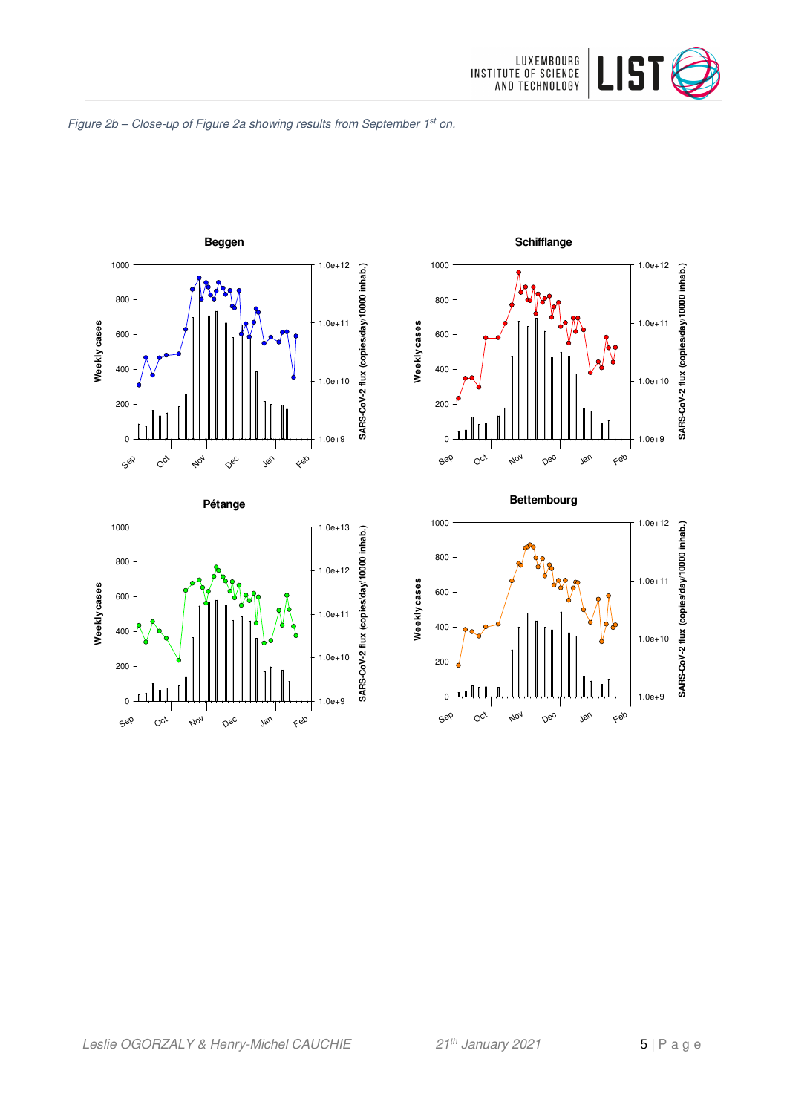









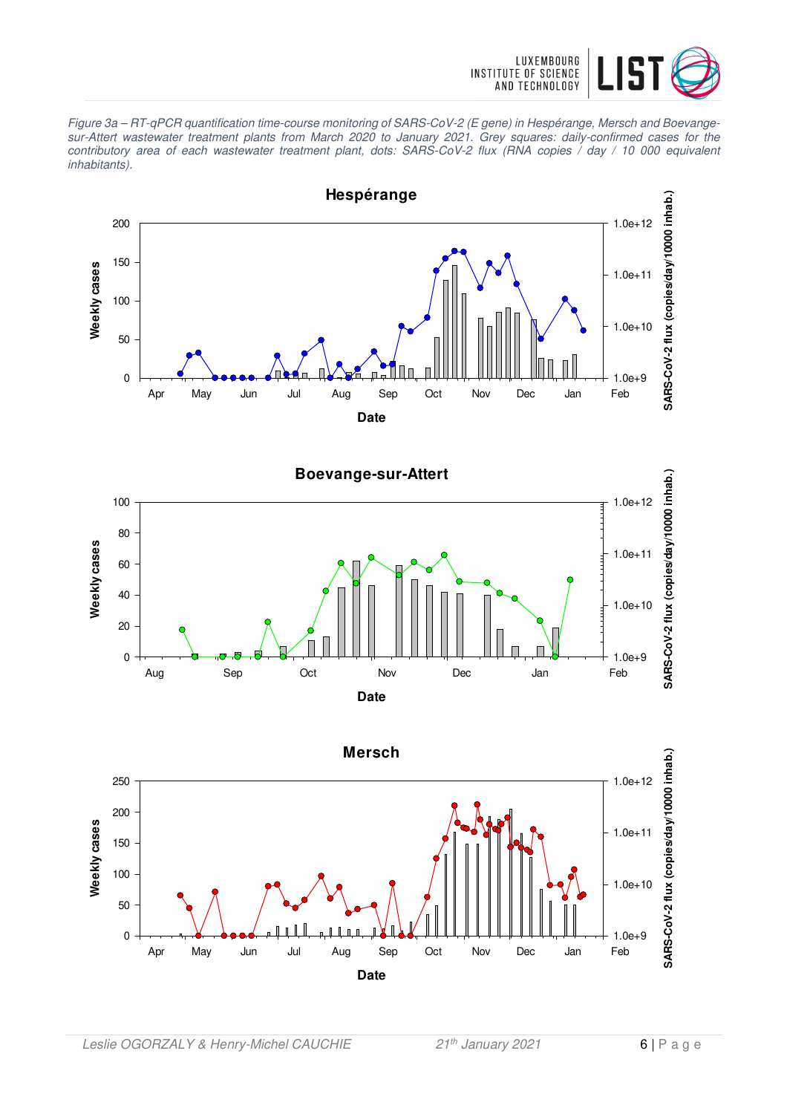

Figure 3a – RT-qPCR quantification time-course monitoring of SARS-CoV-2 (E gene) in Hespérange, Mersch and Boevangesur-Attert wastewater treatment plants from March 2020 to January 2021. Grey squares: daily-confirmed cases for the contributory area of each wastewater treatment plant, dots: SARS-CoV-2 flux (RNA copies / day / 10 000 equivalent inhabitants).





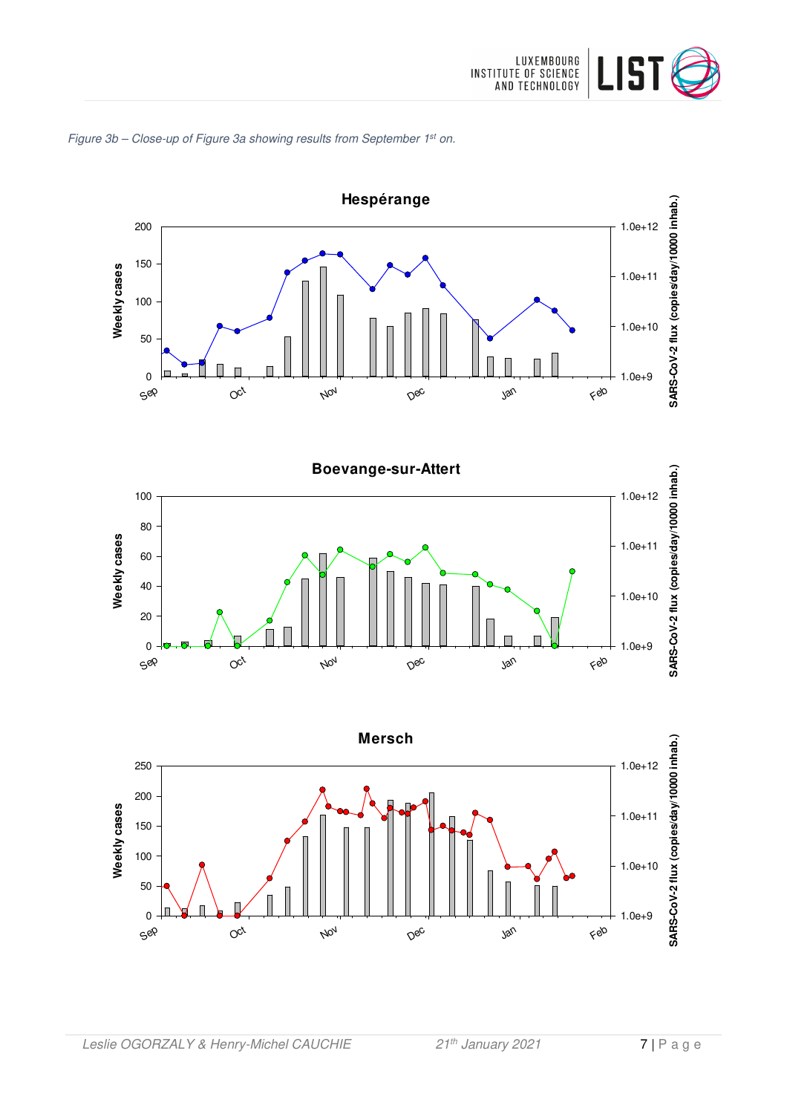







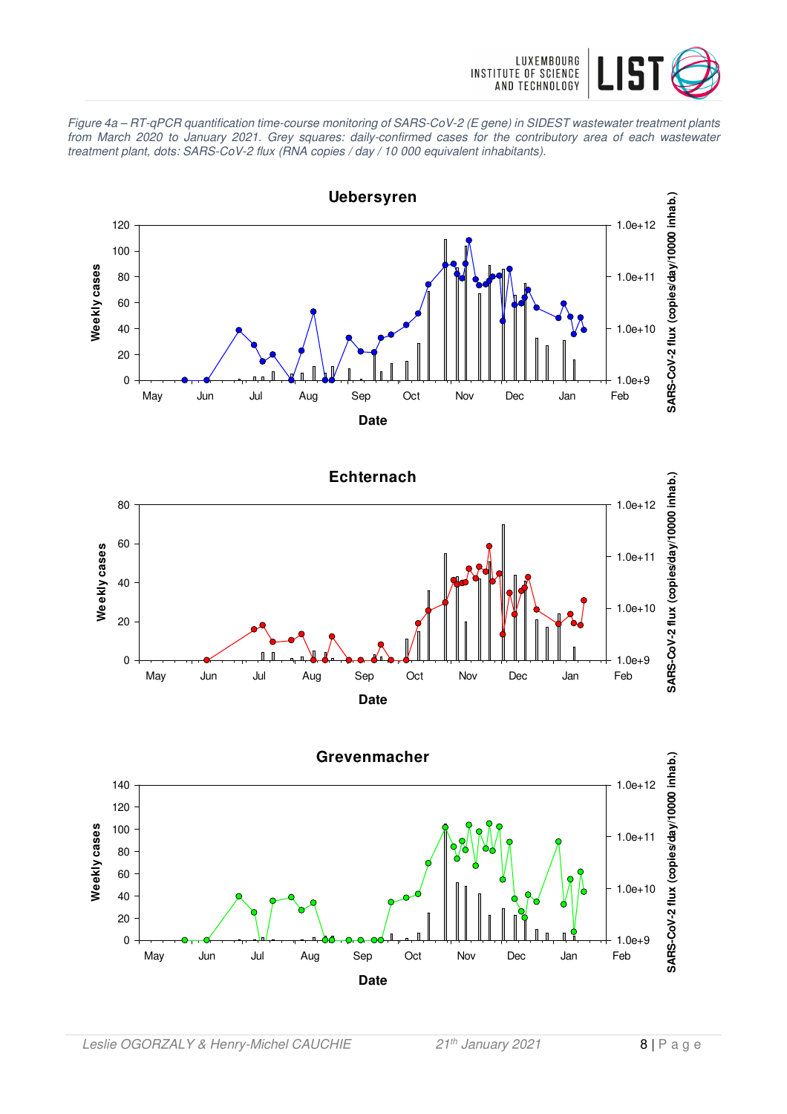

Figure 4a – RT-qPCR quantification time-course monitoring of SARS-CoV-2 (E gene) in SIDEST wastewater treatment plants from March 2020 to January 2021. Grey squares: daily-confirmed cases for the contributory area of each wastewater treatment plant, dots: SARS-CoV-2 flux (RNA copies / day / 10 000 equivalent inhabitants).





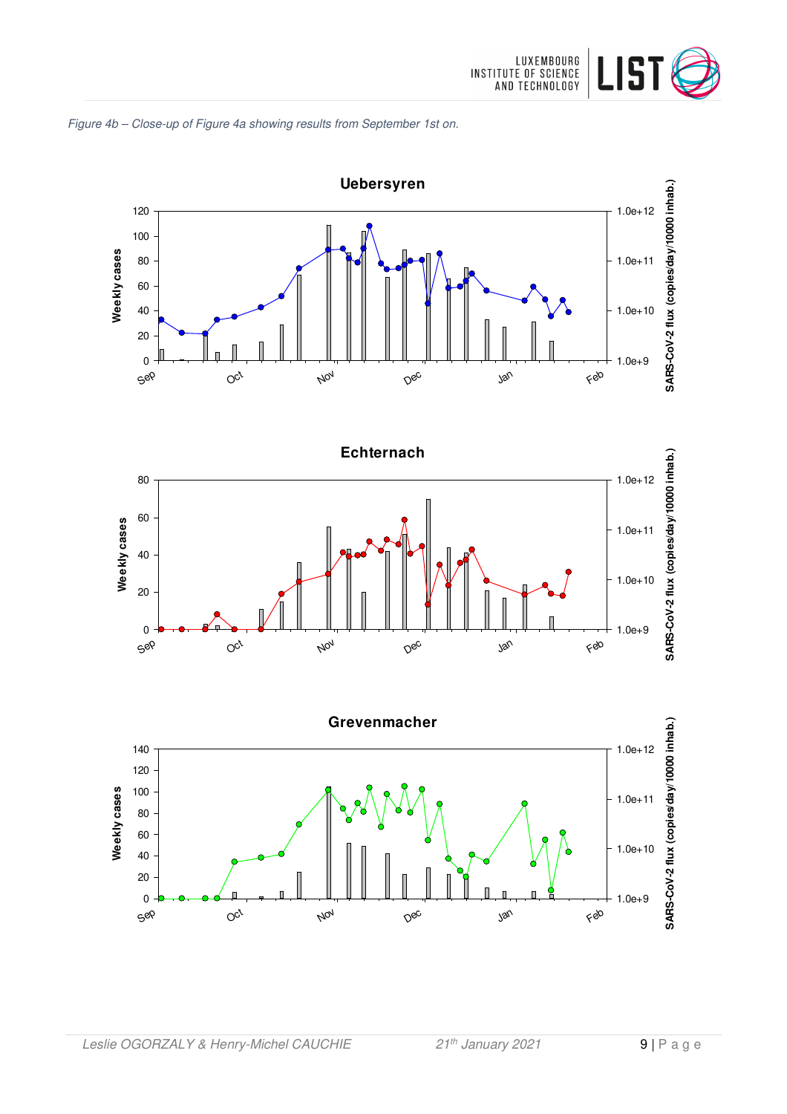







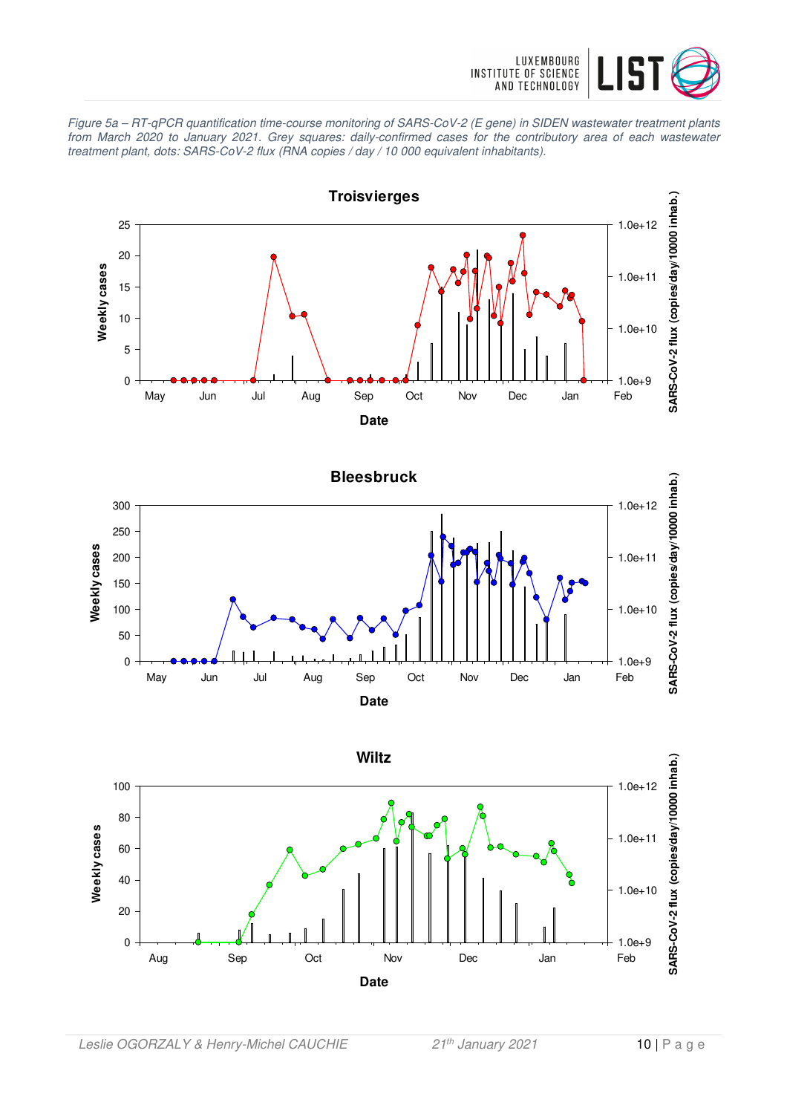

Figure 5a – RT-qPCR quantification time-course monitoring of SARS-CoV-2 (E gene) in SIDEN wastewater treatment plants from March 2020 to January 2021. Grey squares: daily-confirmed cases for the contributory area of each wastewater treatment plant, dots: SARS-CoV-2 flux (RNA copies / day / 10 000 equivalent inhabitants).





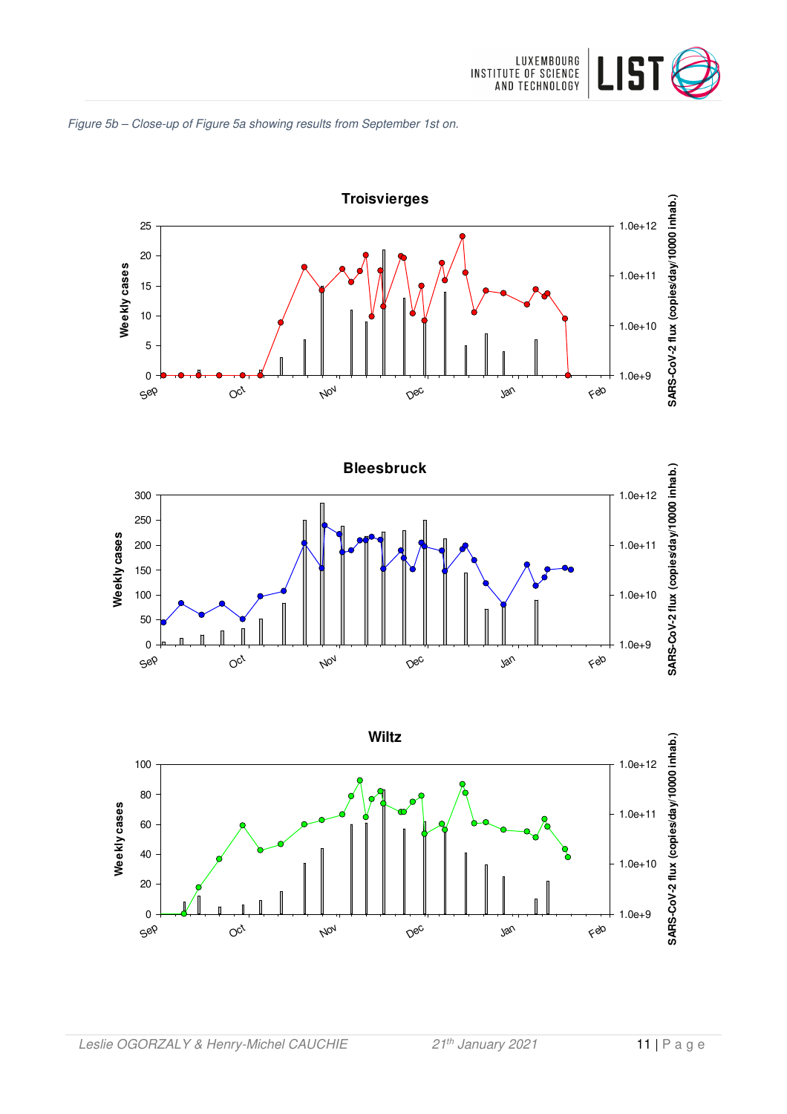







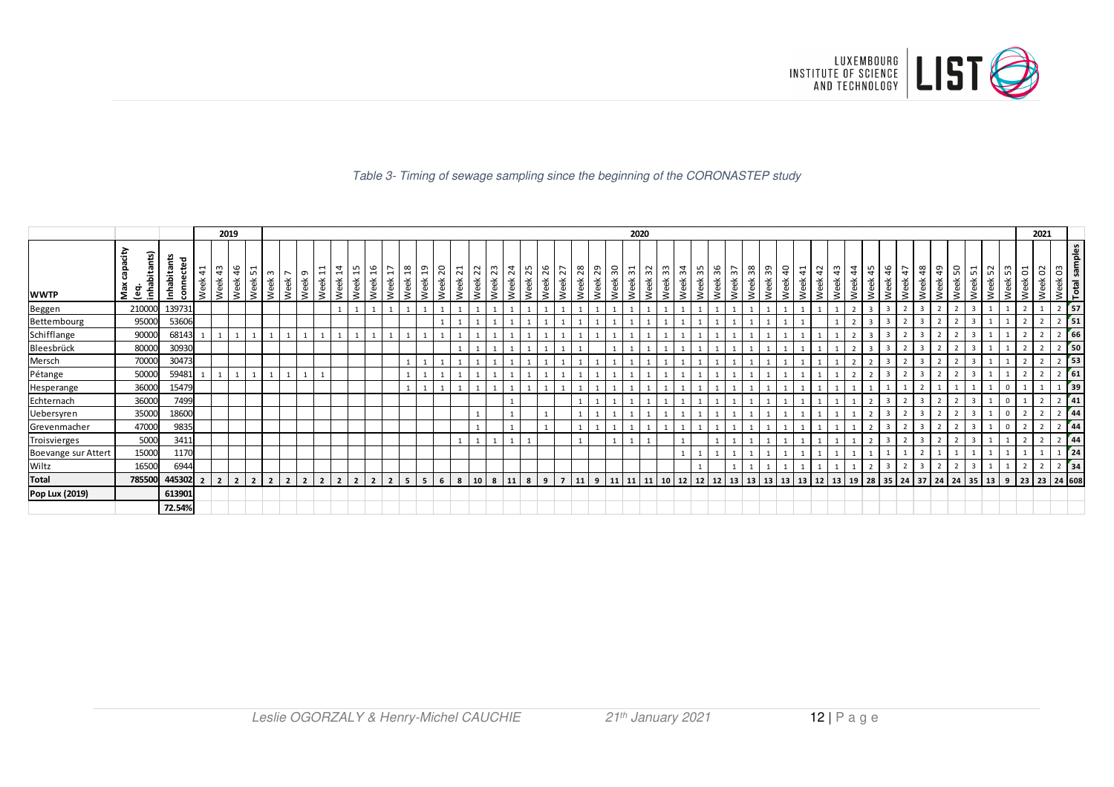

#### Table 3- Timing of sewage sampling since the beginning of the CORONASTEP study

|                     |                                    |                           |                        | 2019           |                                    |                                                                                         | 2020      |                        |            |                          |                                          |                         |                        |                        |                    |                        |                         |                         |                  |                         |      |             | 2021                                       |            |            |                                      |                          |             |      |                      |            |                     |            |            |            |                                            |                                                       |                       |                                        |                         |                |                                  |                          |            |                                                   |                     |                    |                          |           |                                                       |                  |
|---------------------|------------------------------------|---------------------------|------------------------|----------------|------------------------------------|-----------------------------------------------------------------------------------------|-----------|------------------------|------------|--------------------------|------------------------------------------|-------------------------|------------------------|------------------------|--------------------|------------------------|-------------------------|-------------------------|------------------|-------------------------|------|-------------|--------------------------------------------|------------|------------|--------------------------------------|--------------------------|-------------|------|----------------------|------------|---------------------|------------|------------|------------|--------------------------------------------|-------------------------------------------------------|-----------------------|----------------------------------------|-------------------------|----------------|----------------------------------|--------------------------|------------|---------------------------------------------------|---------------------|--------------------|--------------------------|-----------|-------------------------------------------------------|------------------|
| <b>WWTP</b>         | έÈ<br>îä,<br>abit<br>효 등<br>g<br>உ | Inhabitants<br>ಕ<br>conne | $\overline{4}$<br>Week | m<br>4<br>Week | <b>G</b><br>$\overline{a}$<br>Week | $\mathbf{\mathbf{\mathbf{\mathbf{\mathbf{\mathbf{\mathbf{\mathbf{H}}}}}}}$<br>S<br>Week | ണ<br>Week | $\overline{ }$<br>Week | G<br>Week! | $\overline{ }$<br>畜<br>Š | 4<br>$\overline{ }$<br>Week<br>.<br>Week | $\frac{15}{16}$<br>Week | $\overline{1}$<br>Week | $\frac{8}{18}$<br>Week | <u>¦ ಇ</u><br>Week | 0 <sup>2</sup><br>Week | $\overline{21}$<br>Week | ∣ ∾ ∣<br>$\sim$<br>Week | 23<br>Week       | $\frac{24}{25}$<br>Week | Week | 26<br>Week. | $\overline{\phantom{0}}$<br>$\sim$<br>Week | 28<br>Week | 29<br>Week | 50<br>$\frac{31}{2}$<br>Week<br>Week | $\sim$<br>$\sim$<br>Week | က္က<br>Week | Week | $34 - 5$<br>Week     | 96<br>Week | $\sim$<br>ო<br>Week | 38<br>Week | ခွာ<br>eek | 40<br>Week | $\overline{ }$<br>$\overline{4}$<br>녻<br>Š | $\sim$<br>$\overline{a}$<br>$\breve{\mathrm{e}}$<br>Š | $\frac{3}{4}$<br>Week | $4\frac{4}{5}$<br>45<br>Week<br>훇<br>چ | $\frac{9}{4}$<br>孟<br>Š |                | 48<br>$\sqrt{4}$<br>Week<br>Week | $\frac{9}{4}$<br>畜<br>కి | 50<br>Week | $\overline{ }$<br>ທ∣<br>$\breve{\mathrm{e}}$<br>Š | $\sim$<br>S<br>Week | ന∣<br>L<br>畜<br>-Š | $\overline{c}$<br>畜<br>Š | Week 02   | Week 03<br>Total samples<br>ന<br>$\overline{\bullet}$ |                  |
| Beggen              | 210000                             | 139731                    |                        |                |                                    |                                                                                         |           |                        |            |                          |                                          |                         |                        |                        |                    |                        |                         |                         |                  |                         |      |             |                                            |            |            |                                      |                          |             |      |                      |            |                     |            |            |            |                                            |                                                       |                       |                                        |                         |                |                                  |                          |            |                                                   |                     |                    |                          |           |                                                       | 57               |
| Bettembourg         | 95000                              | 53606                     |                        |                |                                    |                                                                                         |           |                        |            |                          |                                          |                         |                        |                        |                    |                        |                         |                         |                  |                         |      |             |                                            |            |            |                                      |                          |             |      |                      |            |                     |            |            |            |                                            |                                                       |                       |                                        |                         |                |                                  |                          |            |                                                   |                     |                    |                          |           |                                                       | $\frac{1}{2}$ 51 |
| <b>Schifflange</b>  | 90000                              | 68143                     |                        |                |                                    |                                                                                         |           |                        |            |                          |                                          |                         |                        |                        |                    |                        |                         |                         |                  |                         |      |             |                                            |            |            |                                      |                          |             |      |                      |            |                     |            |            |            |                                            |                                                       |                       |                                        |                         |                |                                  |                          |            |                                                   |                     |                    |                          |           |                                                       | 66               |
| Bleesbrück          | 80000                              | 30930                     |                        |                |                                    |                                                                                         |           |                        |            |                          |                                          |                         |                        |                        |                    |                        |                         |                         |                  |                         |      |             |                                            |            |            |                                      |                          |             |      |                      |            |                     |            |            |            |                                            |                                                       |                       |                                        |                         | $\overline{2}$ |                                  |                          |            | -3                                                |                     |                    |                          |           |                                                       | $\sqrt{50}$      |
| Mersch              | 70000                              | 30473                     |                        |                |                                    |                                                                                         |           |                        |            |                          |                                          |                         |                        |                        |                    |                        |                         |                         |                  |                         |      |             |                                            |            |            |                                      |                          |             |      |                      |            |                     |            |            |            |                                            |                                                       |                       |                                        |                         |                |                                  |                          |            |                                                   |                     |                    |                          |           |                                                       | $\sqrt{53}$      |
| Pétange             | 50000                              | 59481                     |                        |                |                                    |                                                                                         |           |                        |            |                          |                                          |                         |                        |                        |                    |                        |                         |                         |                  |                         |      |             |                                            |            |            |                                      |                          |             |      |                      |            |                     |            |            |            |                                            |                                                       |                       |                                        |                         |                |                                  |                          |            |                                                   |                     |                    |                          |           |                                                       | 61               |
| Hesperange          | 36000                              | 15479                     |                        |                |                                    |                                                                                         |           |                        |            |                          |                                          |                         |                        |                        |                    |                        |                         |                         |                  |                         |      |             |                                            |            |            |                                      |                          |             |      |                      |            |                     |            |            |            |                                            |                                                       |                       |                                        |                         |                |                                  |                          |            |                                                   |                     |                    |                          |           |                                                       | $\frac{1}{39}$   |
| Echternach          | 36000                              | 7499                      |                        |                |                                    |                                                                                         |           |                        |            |                          |                                          |                         |                        |                        |                    |                        |                         |                         |                  |                         |      |             |                                            |            |            |                                      |                          |             |      |                      |            |                     |            |            |            |                                            |                                                       |                       |                                        |                         | $\overline{2}$ |                                  |                          |            | 3                                                 |                     |                    |                          |           |                                                       | 41               |
| Uebersyren          | 35000                              | 18600                     |                        |                |                                    |                                                                                         |           |                        |            |                          |                                          |                         |                        |                        |                    |                        |                         |                         |                  |                         |      |             |                                            |            |            |                                      |                          |             |      |                      |            |                     |            |            |            |                                            |                                                       |                       |                                        |                         |                |                                  |                          |            |                                                   |                     |                    |                          |           |                                                       | 44               |
| Grevenmacher        | 47000                              | 9835                      |                        |                |                                    |                                                                                         |           |                        |            |                          |                                          |                         |                        |                        |                    |                        |                         |                         |                  |                         |      |             |                                            |            |            |                                      |                          |             |      |                      |            |                     |            |            |            |                                            |                                                       |                       |                                        |                         | $\overline{2}$ |                                  |                          |            | 3                                                 |                     |                    |                          |           |                                                       | 44               |
| Troisvierges        | 5000                               | 3411                      |                        |                |                                    |                                                                                         |           |                        |            |                          |                                          |                         |                        |                        |                    |                        |                         |                         |                  |                         |      |             |                                            |            |            |                                      |                          |             |      |                      |            |                     |            |            |            |                                            |                                                       |                       |                                        |                         |                |                                  |                          |            |                                                   |                     |                    |                          |           |                                                       | 44               |
| Boevange sur Attert | 15000                              | 1170                      |                        |                |                                    |                                                                                         |           |                        |            |                          |                                          |                         |                        |                        |                    |                        |                         |                         |                  |                         |      |             |                                            |            |            |                                      |                          |             |      |                      |            |                     |            |            |            |                                            |                                                       |                       |                                        |                         |                |                                  |                          |            |                                                   |                     |                    |                          |           |                                                       | 24               |
| Wiltz               | 16500                              | 6944                      |                        |                |                                    |                                                                                         |           |                        |            |                          |                                          |                         |                        |                        |                    |                        |                         |                         |                  |                         |      |             |                                            |            |            |                                      |                          |             |      |                      |            |                     |            |            |            |                                            |                                                       |                       |                                        |                         |                |                                  |                          |            |                                                   |                     |                    |                          |           |                                                       | 34               |
| <b>Total</b>        | 785500                             | 445302                    |                        |                | 2 <sup>1</sup>                     |                                                                                         |           | $\overline{2}$         |            |                          |                                          | $\overline{2}$          |                        | 5                      | 5                  | 6                      | 8                       | 10                      | $\boldsymbol{8}$ | 11                      | 8    | 9           |                                            | $11$   9   |            | 11<br>  11                           | 11                       | 10          |      | $12 \mid 12 \mid 12$ |            | 13                  | $13$ 13    |            | 13         | $13 \mid 12$                               |                                                       | $\vert$ 13,           | 19                                     |                         | 28 35 24       |                                  | 37 24 24                 |            |                                                   | 35 33 9 23          |                    |                          | 23 24 608 |                                                       |                  |
| Pop Lux (2019)      |                                    | 613901                    |                        |                |                                    |                                                                                         |           |                        |            |                          |                                          |                         |                        |                        |                    |                        |                         |                         |                  |                         |      |             |                                            |            |            |                                      |                          |             |      |                      |            |                     |            |            |            |                                            |                                                       |                       |                                        |                         |                |                                  |                          |            |                                                   |                     |                    |                          |           |                                                       |                  |
|                     |                                    | 72.54%                    |                        |                |                                    |                                                                                         |           |                        |            |                          |                                          |                         |                        |                        |                    |                        |                         |                         |                  |                         |      |             |                                            |            |            |                                      |                          |             |      |                      |            |                     |            |            |            |                                            |                                                       |                       |                                        |                         |                |                                  |                          |            |                                                   |                     |                    |                          |           |                                                       |                  |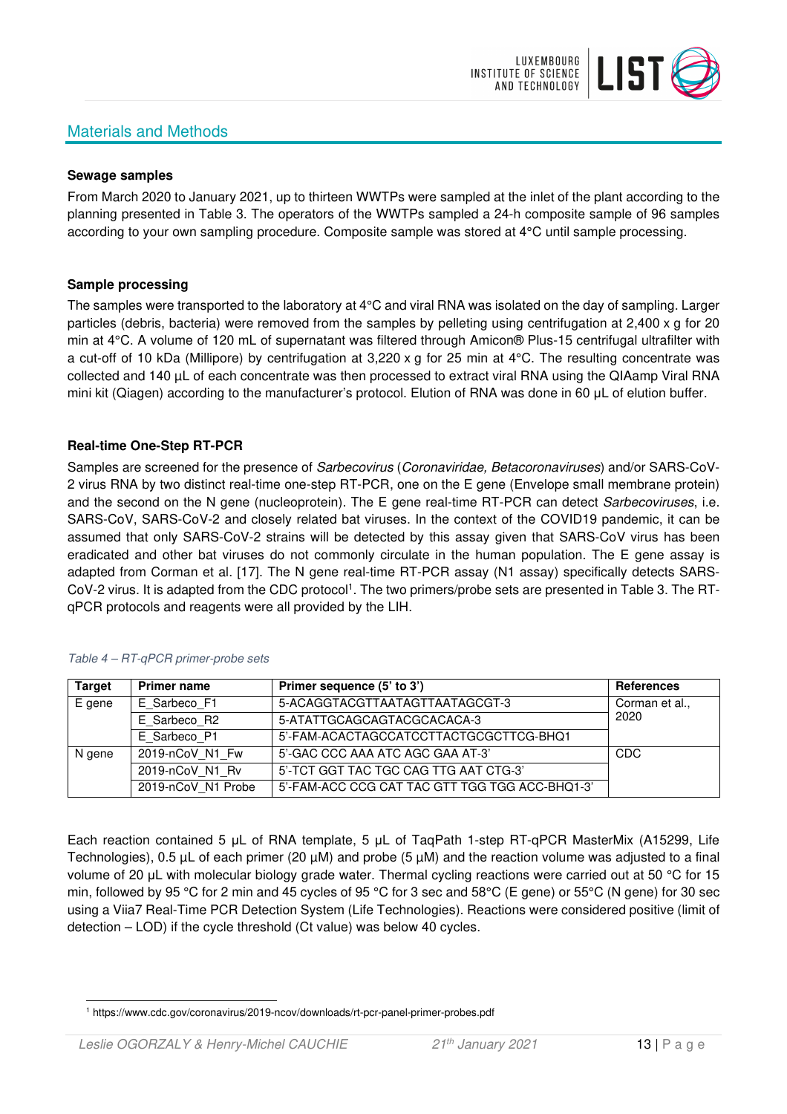# Materials and Methods



#### **Sewage samples**

From March 2020 to January 2021, up to thirteen WWTPs were sampled at the inlet of the plant according to the planning presented in Table 3. The operators of the WWTPs sampled a 24-h composite sample of 96 samples according to your own sampling procedure. Composite sample was stored at 4°C until sample processing.

#### **Sample processing**

The samples were transported to the laboratory at 4°C and viral RNA was isolated on the day of sampling. Larger particles (debris, bacteria) were removed from the samples by pelleting using centrifugation at 2,400 x g for 20 min at 4°C. A volume of 120 mL of supernatant was filtered through Amicon® Plus-15 centrifugal ultrafilter with a cut-off of 10 kDa (Millipore) by centrifugation at 3,220 x g for 25 min at 4°C. The resulting concentrate was collected and 140 µL of each concentrate was then processed to extract viral RNA using the QIAamp Viral RNA mini kit (Qiagen) according to the manufacturer's protocol. Elution of RNA was done in 60 μL of elution buffer.

#### **Real-time One-Step RT-PCR**

Samples are screened for the presence of *Sarbecovirus (Coronaviridae, Betacoronaviruses*) and/or SARS-CoV-2 virus RNA by two distinct real-time one-step RT-PCR, one on the E gene (Envelope small membrane protein) and the second on the N gene (nucleoprotein). The E gene real-time RT-PCR can detect Sarbecoviruses, i.e. SARS-CoV, SARS-CoV-2 and closely related bat viruses. In the context of the COVID19 pandemic, it can be assumed that only SARS-CoV-2 strains will be detected by this assay given that SARS-CoV virus has been eradicated and other bat viruses do not commonly circulate in the human population. The E gene assay is adapted from Corman et al. [17]. The N gene real-time RT-PCR assay (N1 assay) specifically detects SARS-CoV-2 virus. It is adapted from the CDC protocol<sup>1</sup>. The two primers/probe sets are presented in Table 3. The RTqPCR protocols and reagents were all provided by the LIH.

| <b>Target</b> | <b>Primer name</b> | Primer sequence (5' to 3')                     | <b>References</b> |
|---------------|--------------------|------------------------------------------------|-------------------|
| E gene        | E Sarbeco F1       | 5-ACAGGTACGTTAATAGTTAATAGCGT-3                 | Corman et al.,    |
|               | E Sarbeco R2       | 5-ATATTGCAGCAGTACGCACACA-3                     | 2020              |
|               | E Sarbeco P1       | 5'-FAM-ACACTAGCCATCCTTACTGCGCTTCG-BHQ1         |                   |
| N gene        | 2019-nCoV N1 Fw    | 5'-GAC CCC AAA ATC AGC GAA AT-3'               | CDC               |
|               | 2019-nCoV N1 Rv    | 5'-TCT GGT TAC TGC CAG TTG AAT CTG-3'          |                   |
|               | 2019-nCoV N1 Probe | 5'-FAM-ACC CCG CAT TAC GTT TGG TGG ACC-BHQ1-3' |                   |

#### Table 4 – RT-qPCR primer-probe sets

Each reaction contained 5 μL of RNA template, 5 μL of TaqPath 1-step RT-qPCR MasterMix (A15299, Life Technologies), 0.5 µL of each primer (20 µM) and probe (5 µM) and the reaction volume was adjusted to a final volume of 20 μL with molecular biology grade water. Thermal cycling reactions were carried out at 50 °C for 15 min, followed by 95 °C for 2 min and 45 cycles of 95 °C for 3 sec and 58°C (E gene) or 55°C (N gene) for 30 sec using a Viia7 Real-Time PCR Detection System (Life Technologies). Reactions were considered positive (limit of detection – LOD) if the cycle threshold (Ct value) was below 40 cycles.

<sup>1</sup> https://www.cdc.gov/coronavirus/2019-ncov/downloads/rt-pcr-panel-primer-probes.pdf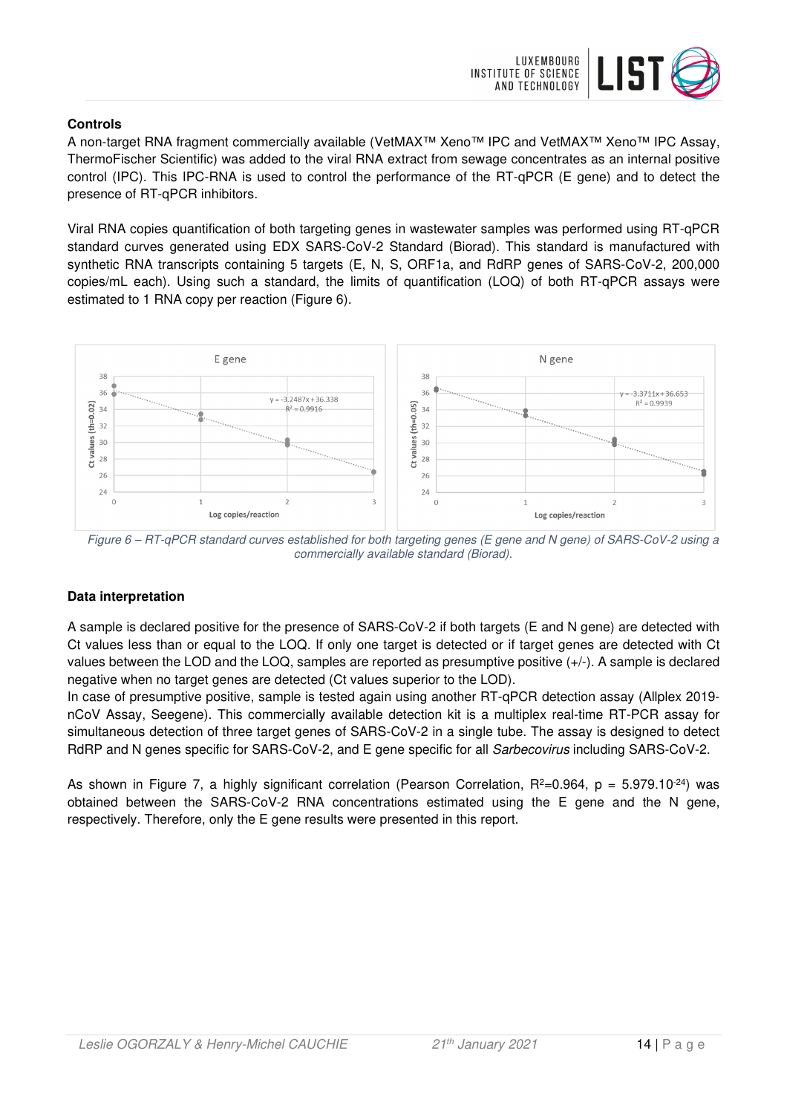

### **Controls**

A non-target RNA fragment commercially available (VetMAX™ Xeno™ IPC and VetMAX™ Xeno™ IPC Assay, ThermoFischer Scientific) was added to the viral RNA extract from sewage concentrates as an internal positive control (IPC). This IPC-RNA is used to control the performance of the RT-qPCR (E gene) and to detect the presence of RT-qPCR inhibitors.

Viral RNA copies quantification of both targeting genes in wastewater samples was performed using RT-qPCR standard curves generated using EDX SARS-CoV-2 Standard (Biorad). This standard is manufactured with synthetic RNA transcripts containing 5 targets (E, N, S, ORF1a, and RdRP genes of SARS-CoV-2, 200,000 copies/mL each). Using such a standard, the limits of quantification (LOQ) of both RT-qPCR assays were estimated to 1 RNA copy per reaction (Figure 6).



Figure 6 – RT-qPCR standard curves established for both targeting genes (E gene and N gene) of SARS-CoV-2 using a commercially available standard (Biorad).

## **Data interpretation**

A sample is declared positive for the presence of SARS-CoV-2 if both targets (E and N gene) are detected with Ct values less than or equal to the LOQ. If only one target is detected or if target genes are detected with Ct values between the LOD and the LOQ, samples are reported as presumptive positive (+/-). A sample is declared negative when no target genes are detected (Ct values superior to the LOD).

In case of presumptive positive, sample is tested again using another RT-qPCR detection assay (Allplex 2019 nCoV Assay, Seegene). This commercially available detection kit is a multiplex real-time RT-PCR assay for simultaneous detection of three target genes of SARS-CoV-2 in a single tube. The assay is designed to detect RdRP and N genes specific for SARS-CoV-2, and E gene specific for all Sarbecovirus including SARS-CoV-2.

As shown in Figure 7, a highly significant correlation (Pearson Correlation,  $R^2=0.964$ ,  $p = 5.979.10^{-24}$ ) was obtained between the SARS-CoV-2 RNA concentrations estimated using the E gene and the N gene, respectively. Therefore, only the E gene results were presented in this report.